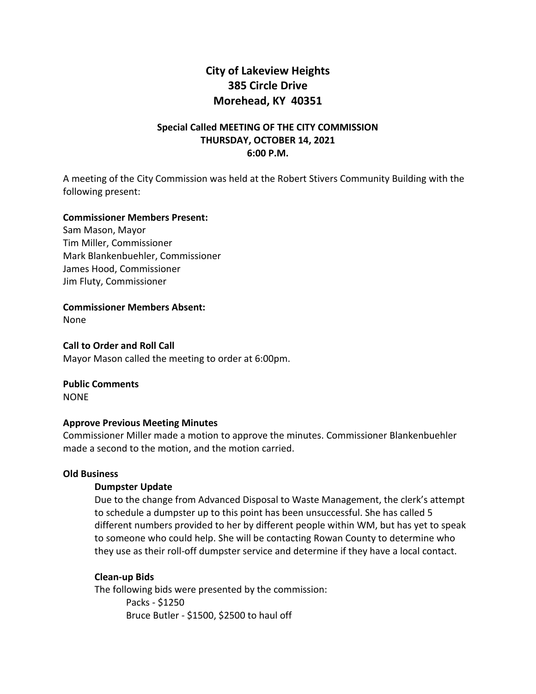# **City of Lakeview Heights 385 Circle Drive Morehead, KY 40351**

# **Special Called MEETING OF THE CITY COMMISSION THURSDAY, OCTOBER 14, 2021 6:00 P.M.**

A meeting of the City Commission was held at the Robert Stivers Community Building with the following present:

## **Commissioner Members Present:**

Sam Mason, Mayor Tim Miller, Commissioner Mark Blankenbuehler, Commissioner James Hood, Commissioner Jim Fluty, Commissioner

**Commissioner Members Absent:** 

None

**Call to Order and Roll Call**

Mayor Mason called the meeting to order at 6:00pm.

**Public Comments**

NONE

#### **Approve Previous Meeting Minutes**

Commissioner Miller made a motion to approve the minutes. Commissioner Blankenbuehler made a second to the motion, and the motion carried.

### **Old Business**

# **Dumpster Update**

Due to the change from Advanced Disposal to Waste Management, the clerk's attempt to schedule a dumpster up to this point has been unsuccessful. She has called 5 different numbers provided to her by different people within WM, but has yet to speak to someone who could help. She will be contacting Rowan County to determine who they use as their roll-off dumpster service and determine if they have a local contact.

# **Clean-up Bids**

The following bids were presented by the commission: Packs - \$1250 Bruce Butler - \$1500, \$2500 to haul off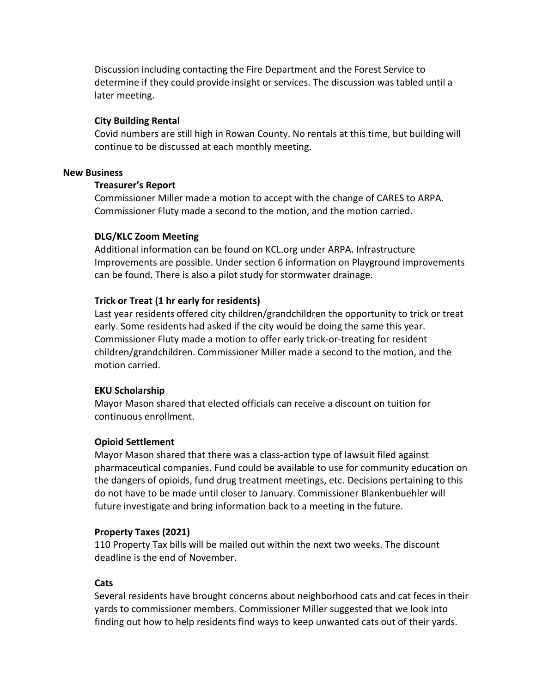Discussion including contacting the Fire Department and the Forest Service to determine if they could provide insight or services. The discussion was tabled until a later meeting.

# **City Building Rental**

Covid numbers are still high in Rowan County. No rentals at this time, but building will continue to be discussed at each monthly meeting.

## **New Business**

## **Treasurer's Report**

Commissioner Miller made a motion to accept with the change of CARES to ARPA. Commissioner Fluty made a second to the motion, and the motion carried.

# **DLG/KLC Zoom Meeting**

Additional information can be found on KCL.org under ARPA. Infrastructure Improvements are possible. Under section 6 information on Playground improvements can be found. There is also a pilot study for stormwater drainage.

# **Trick or Treat (1 hr early for residents)**

Last year residents offered city children/grandchildren the opportunity to trick or treat early. Some residents had asked if the city would be doing the same this year. Commissioner Fluty made a motion to offer early trick-or-treating for resident children/grandchildren. Commissioner Miller made a second to the motion, and the motion carried.

#### **EKU Scholarship**

Mayor Mason shared that elected officials can receive a discount on tuition for continuous enrollment.

# **Opioid Settlement**

Mayor Mason shared that there was a class-action type of lawsuit filed against pharmaceutical companies. Fund could be available to use for community education on the dangers of opioids, fund drug treatment meetings, etc. Decisions pertaining to this do not have to be made until closer to January. Commissioner Blankenbuehler will future investigate and bring information back to a meeting in the future.

#### **Property Taxes (2021)**

110 Property Tax bills will be mailed out within the next two weeks. The discount deadline is the end of November.

## **Cats**

Several residents have brought concerns about neighborhood cats and cat feces in their yards to commissioner members. Commissioner Miller suggested that we look into finding out how to help residents find ways to keep unwanted cats out of their yards.